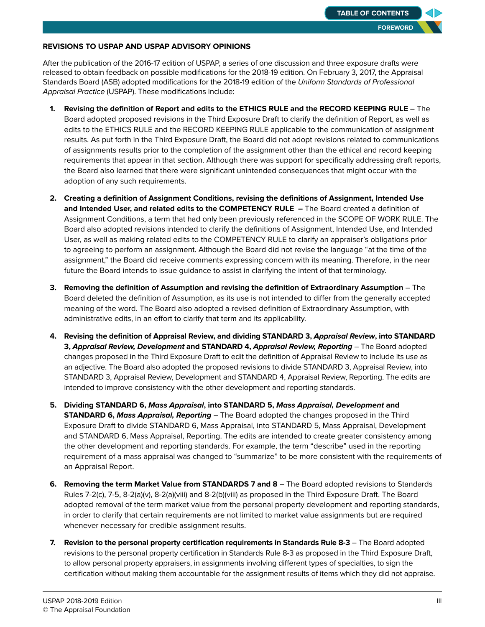## **REVISIONS TO USPAP AND USPAP ADVISORY OPINIONS**

After the publication of the 2016-17 edition of USPAP, a series of one discussion and three exposure drafts were released to obtain feedback on possible modifications for the 2018-19 edition. On February 3, 2017, the Appraisal Standards Board (ASB) adopted modifcations for the 2018-19 edition of the Uniform Standards of Professional Appraisal Practice (USPAP). These modifications include:

- **1. Revising the defnition of Report and edits to the ETHICS RULE and the RECORD KEEPING RULE**  The Board adopted proposed revisions in the Third Exposure Draft to clarify the defnition of Report, as well as edits to the ETHICS RULE and the RECORD KEEPING RULE applicable to the communication of assignment results. As put forth in the Third Exposure Draft, the Board did not adopt revisions related to communications of assignments results prior to the completion of the assignment other than the ethical and record keeping requirements that appear in that section. Although there was support for specifcally addressing draft reports, the Board also learned that there were signifcant unintended consequences that might occur with the adoption of any such requirements.
- **2. Creating a defnition of Assignment Conditions, revising the defnitions of Assignment, Intended Use and Intended User, and related edits to the COMPETENCY RULE –** The Board created a defnition of Assignment Conditions, a term that had only been previously referenced in the SCOPE OF WORK RULE. The Board also adopted revisions intended to clarify the defnitions of Assignment, Intended Use, and Intended User, as well as making related edits to the COMPETENCY RULE to clarify an appraiser's obligations prior to agreeing to perform an assignment. Although the Board did not revise the language "at the time of the assignment," the Board did receive comments expressing concern with its meaning. Therefore, in the near future the Board intends to issue guidance to assist in clarifying the intent of that terminology.
- **3. Removing the defnition of Assumption and revising the defnition of Extraordinary Assumption** The Board deleted the defnition of Assumption, as its use is not intended to difer from the generally accepted meaning of the word. The Board also adopted a revised defnition of Extraordinary Assumption, with administrative edits, in an effort to clarify that term and its applicability.
- **4. Revising the defnition of Appraisal Review, and dividing STANDARD 3, Appraisal Review, into STANDARD 3, Appraisal Review, Development and STANDARD 4, Appraisal Review, Reporting** – The Board adopted changes proposed in the Third Exposure Draft to edit the defnition of Appraisal Review to include its use as an adjective. The Board also adopted the proposed revisions to divide STANDARD 3, Appraisal Review, into STANDARD 3, Appraisal Review, Development and STANDARD 4, Appraisal Review, Reporting. The edits are intended to improve consistency with the other development and reporting standards.
- **5. Dividing STANDARD 6, Mass Appraisal, into STANDARD 5, Mass Appraisal, Development and STANDARD 6, Mass Appraisal, Reporting** – The Board adopted the changes proposed in the Third Exposure Draft to divide STANDARD 6, Mass Appraisal, into STANDARD 5, Mass Appraisal, Development and STANDARD 6, Mass Appraisal, Reporting. The edits are intended to create greater consistency among the other development and reporting standards. For example, the term "describe" used in the reporting requirement of a mass appraisal was changed to "summarize" to be more consistent with the requirements of an Appraisal Report.
- **6. Removing the term Market Value from STANDARDS 7 and 8** The Board adopted revisions to Standards Rules 7-2(c), 7-5, 8-2(a)(v), 8-2(a)(viii) and 8-2(b)(viii) as proposed in the Third Exposure Draft. The Board adopted removal of the term market value from the personal property development and reporting standards, in order to clarify that certain requirements are not limited to market value assignments but are required whenever necessary for credible assignment results.
- **7. Revision to the personal property certifcation requirements in Standards Rule 8-3** The Board adopted revisions to the personal property certifcation in Standards Rule 8-3 as proposed in the Third Exposure Draft, to allow personal property appraisers, in assignments involving diferent types of specialties, to sign the certifcation without making them accountable for the assignment results of items which they did not appraise.